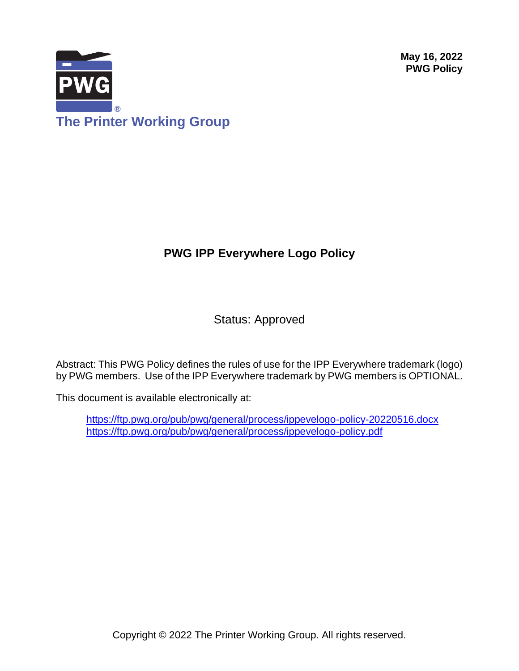**May 16, 2022 PWG Policy**



# **PWG IPP Everywhere Logo Policy**

Status: Approved

Abstract: This PWG Policy defines the rules of use for the IPP Everywhere trademark (logo) by PWG members. Use of the IPP Everywhere trademark by PWG members is OPTIONAL.

This document is available electronically at:

<https://ftp.pwg.org/pub/pwg/general/process/ippevelogo-policy-20220516.docx> <https://ftp.pwg.org/pub/pwg/general/process/ippevelogo-policy.pdf>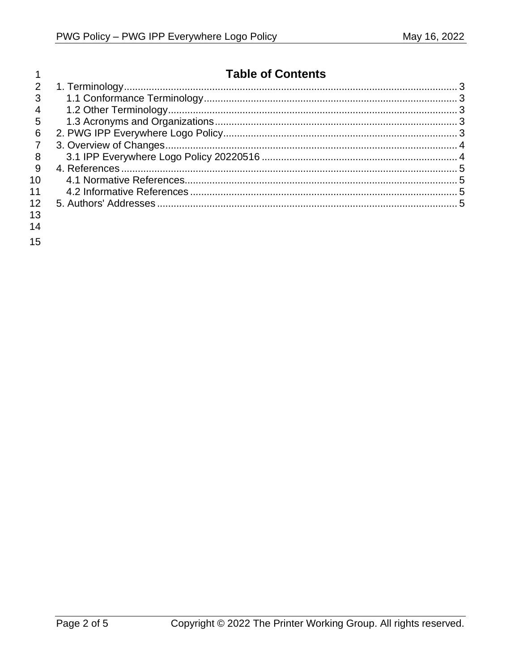|                 | <b>Table of Contents</b> |  |
|-----------------|--------------------------|--|
| 2               |                          |  |
| 3               |                          |  |
| $\overline{4}$  |                          |  |
| $5\overline{)}$ |                          |  |
| 6               |                          |  |
|                 |                          |  |
| 8               |                          |  |
| 9               |                          |  |
| 10              |                          |  |
| 11              |                          |  |
| 12.             |                          |  |
| 13              |                          |  |
| 14              |                          |  |
|                 |                          |  |

15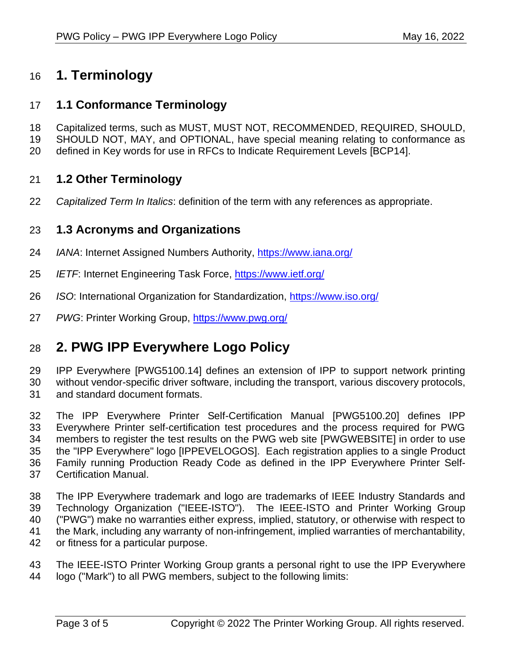# <span id="page-2-0"></span>**1. Terminology**

## <span id="page-2-1"></span>**1.1 Conformance Terminology**

- Capitalized terms, such as MUST, MUST NOT, RECOMMENDED, REQUIRED, SHOULD,
- SHOULD NOT, MAY, and OPTIONAL, have special meaning relating to conformance as
- <span id="page-2-2"></span>defined in Key words for use in RFCs to Indicate Requirement Levels [\[BCP14\].](#page-4-4)

## **1.2 Other Terminology**

<span id="page-2-3"></span>*Capitalized Term In Italics*: definition of the term with any references as appropriate.

### **1.3 Acronyms and Organizations**

- *IANA*: Internet Assigned Numbers Authority,<https://www.iana.org/>
- *IETF*: Internet Engineering Task Force,<https://www.ietf.org/>
- *ISO*: International Organization for Standardization,<https://www.iso.org/>
- <span id="page-2-4"></span>*PWG*: Printer Working Group,<https://www.pwg.org/>

## **2. PWG IPP Everywhere Logo Policy**

 IPP Everywhere [\[PWG5100.14\]](#page-4-5) defines an extension of IPP to support network printing without vendor-specific driver software, including the transport, various discovery protocols, and standard document formats.

 The IPP Everywhere Printer Self-Certification Manual [\[PWG5100.20\]](#page-4-6) defines IPP Everywhere Printer self-certification test procedures and the process required for PWG members to register the test results on the PWG web site [\[PWGWEBSITE\]](#page-4-7) in order to use the "IPP Everywhere" logo [\[IPPEVELOGOS\].](#page-4-8) Each registration applies to a single Product Family running Production Ready Code as defined in the IPP Everywhere Printer Self-Certification Manual.

 The IPP Everywhere trademark and logo are trademarks of IEEE Industry Standards and Technology Organization ("IEEE-ISTO"). The IEEE-ISTO and Printer Working Group ("PWG") make no warranties either express, implied, statutory, or otherwise with respect to the Mark, including any warranty of non-infringement, implied warranties of merchantability, or fitness for a particular purpose.

 The IEEE-ISTO Printer Working Group grants a personal right to use the IPP Everywhere logo ("Mark") to all PWG members, subject to the following limits: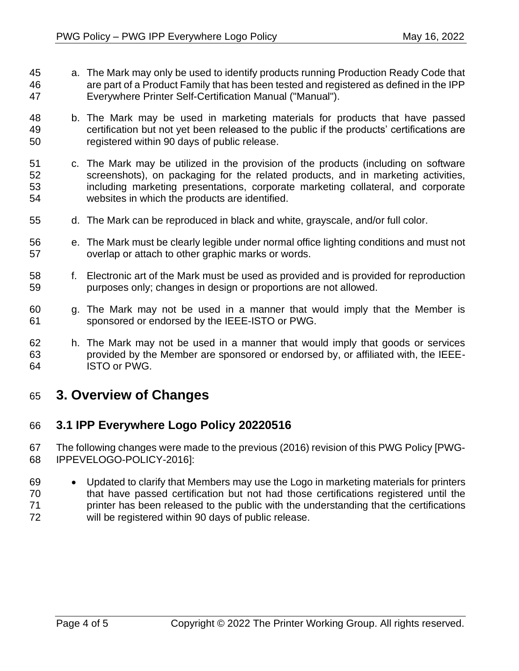- a. The Mark may only be used to identify products running Production Ready Code that are part of a Product Family that has been tested and registered as defined in the IPP Everywhere Printer Self-Certification Manual ("Manual").
- b. The Mark may be used in marketing materials for products that have passed certification but not yet been released to the public if the products' certifications are registered within 90 days of public release.
- c. The Mark may be utilized in the provision of the products (including on software screenshots), on packaging for the related products, and in marketing activities, including marketing presentations, corporate marketing collateral, and corporate websites in which the products are identified.
- d. The Mark can be reproduced in black and white, grayscale, and/or full color.
- e. The Mark must be clearly legible under normal office lighting conditions and must not overlap or attach to other graphic marks or words.
- f. Electronic art of the Mark must be used as provided and is provided for reproduction purposes only; changes in design or proportions are not allowed.
- g. The Mark may not be used in a manner that would imply that the Member is sponsored or endorsed by the IEEE-ISTO or PWG.
- h. The Mark may not be used in a manner that would imply that goods or services provided by the Member are sponsored or endorsed by, or affiliated with, the IEEE-ISTO or PWG.

## <span id="page-3-0"></span>**3. Overview of Changes**

### <span id="page-3-1"></span>**3.1 IPP Everywhere Logo Policy 20220516**

- The following changes were made to the previous (2016) revision of this PWG Policy [\[PWG-](#page-4-9)[IPPEVELOGO-POLICY-2016\]:](#page-4-9)
- Updated to clarify that Members may use the Logo in marketing materials for printers that have passed certification but not had those certifications registered until the 71 printer has been released to the public with the understanding that the certifications will be registered within 90 days of public release.